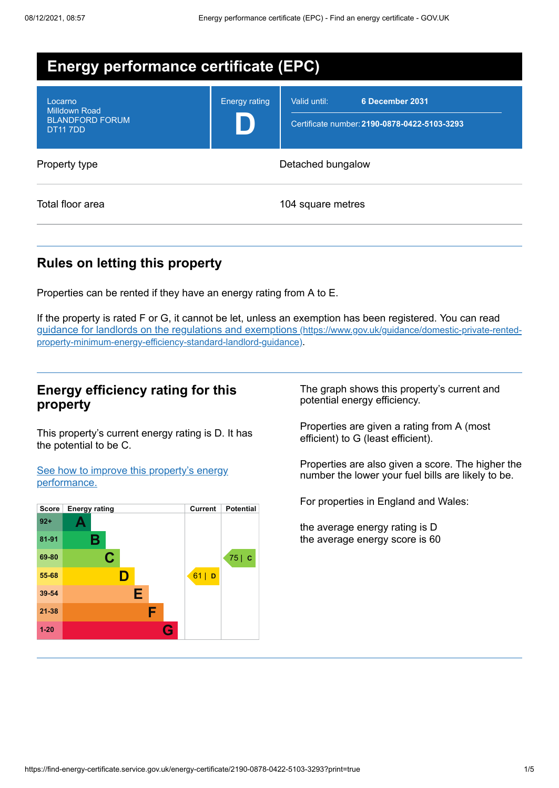| <b>Energy performance certificate (EPC)</b>                                 |                      |                                                                                 |
|-----------------------------------------------------------------------------|----------------------|---------------------------------------------------------------------------------|
| Locarno<br><b>Milldown Road</b><br><b>BLANDFORD FORUM</b><br><b>DT117DD</b> | <b>Energy rating</b> | 6 December 2031<br>Valid until:<br>Certificate number: 2190-0878-0422-5103-3293 |
| Property type                                                               | Detached bungalow    |                                                                                 |
| Total floor area                                                            |                      | 104 square metres                                                               |

# **Rules on letting this property**

Properties can be rented if they have an energy rating from A to E.

If the property is rated F or G, it cannot be let, unless an exemption has been registered. You can read guidance for landlords on the regulations and exemptions (https://www.gov.uk/guidance/domestic-private-rented[property-minimum-energy-efficiency-standard-landlord-guidance\)](https://www.gov.uk/guidance/domestic-private-rented-property-minimum-energy-efficiency-standard-landlord-guidance).

## **Energy efficiency rating for this property**

This property's current energy rating is D. It has the potential to be C.

See how to improve this property's energy [performance.](#page-2-0)



The graph shows this property's current and potential energy efficiency.

Properties are given a rating from A (most efficient) to G (least efficient).

Properties are also given a score. The higher the number the lower your fuel bills are likely to be.

For properties in England and Wales:

the average energy rating is D the average energy score is 60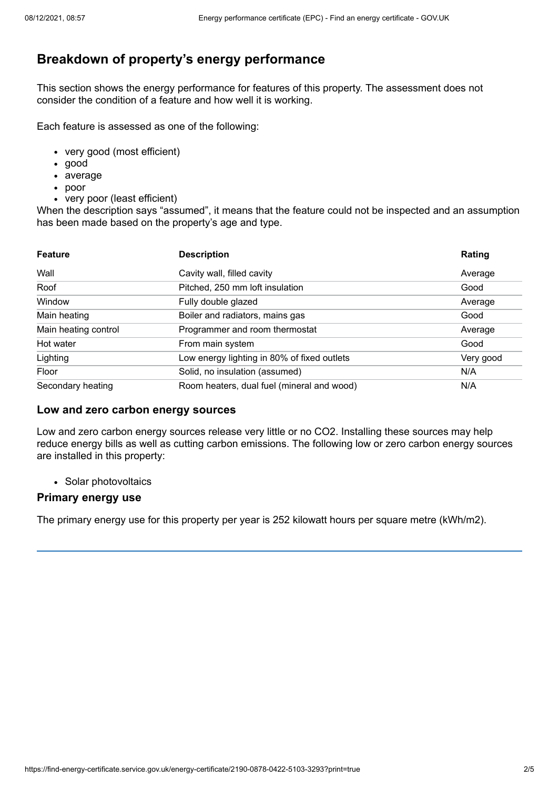# **Breakdown of property's energy performance**

This section shows the energy performance for features of this property. The assessment does not consider the condition of a feature and how well it is working.

Each feature is assessed as one of the following:

- very good (most efficient)
- good
- average
- poor
- very poor (least efficient)

When the description says "assumed", it means that the feature could not be inspected and an assumption has been made based on the property's age and type.

| <b>Feature</b>       | <b>Description</b>                          | Rating    |
|----------------------|---------------------------------------------|-----------|
| Wall                 | Cavity wall, filled cavity                  | Average   |
| Roof                 | Pitched, 250 mm loft insulation             | Good      |
| Window               | Fully double glazed                         | Average   |
| Main heating         | Boiler and radiators, mains gas             | Good      |
| Main heating control | Programmer and room thermostat              | Average   |
| Hot water            | From main system                            | Good      |
| Lighting             | Low energy lighting in 80% of fixed outlets | Very good |
| Floor                | Solid, no insulation (assumed)              | N/A       |
| Secondary heating    | Room heaters, dual fuel (mineral and wood)  | N/A       |

#### **Low and zero carbon energy sources**

Low and zero carbon energy sources release very little or no CO2. Installing these sources may help reduce energy bills as well as cutting carbon emissions. The following low or zero carbon energy sources are installed in this property:

• Solar photovoltaics

#### **Primary energy use**

The primary energy use for this property per year is 252 kilowatt hours per square metre (kWh/m2).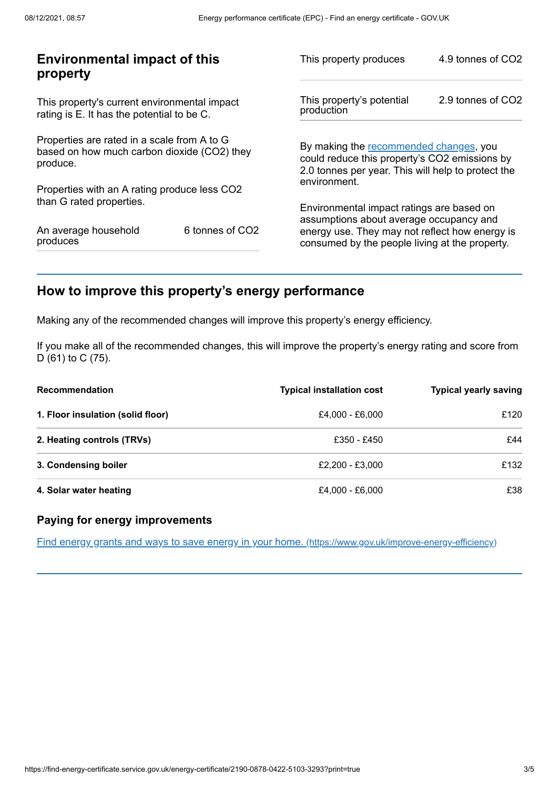| <b>Environmental impact of this</b><br>property                                                        |                 | This property produces                                                                                                                        | 4.9 tonnes of CO2 |
|--------------------------------------------------------------------------------------------------------|-----------------|-----------------------------------------------------------------------------------------------------------------------------------------------|-------------------|
| This property's current environmental impact<br>rating is E. It has the potential to be C.             |                 | This property's potential<br>production                                                                                                       | 2.9 tonnes of CO2 |
| Properties are rated in a scale from A to G<br>based on how much carbon dioxide (CO2) they<br>produce. |                 | By making the recommended changes, you<br>could reduce this property's CO2 emissions by<br>2.0 tonnes per year. This will help to protect the |                   |
| Properties with an A rating produce less CO2                                                           |                 | environment.                                                                                                                                  |                   |
| than G rated properties.                                                                               |                 | Environmental impact ratings are based on<br>assumptions about average occupancy and                                                          |                   |
| An average household<br>produces                                                                       | 6 tonnes of CO2 | energy use. They may not reflect how energy is<br>consumed by the people living at the property.                                              |                   |
|                                                                                                        |                 |                                                                                                                                               |                   |

# <span id="page-2-0"></span>**How to improve this property's energy performance**

Making any of the recommended changes will improve this property's energy efficiency.

If you make all of the recommended changes, this will improve the property's energy rating and score from D (61) to C (75).

| <b>Recommendation</b>             | <b>Typical installation cost</b> | <b>Typical yearly saving</b> |
|-----------------------------------|----------------------------------|------------------------------|
| 1. Floor insulation (solid floor) | £4,000 - £6,000                  | £120                         |
| 2. Heating controls (TRVs)        | £350 - £450                      | £44                          |
| 3. Condensing boiler              | £2.200 - £3.000                  | £132                         |
| 4. Solar water heating            | £4,000 - £6,000                  | £38                          |

#### **Paying for energy improvements**

Find energy grants and ways to save energy in your home. [\(https://www.gov.uk/improve-energy-efficiency\)](https://www.gov.uk/improve-energy-efficiency)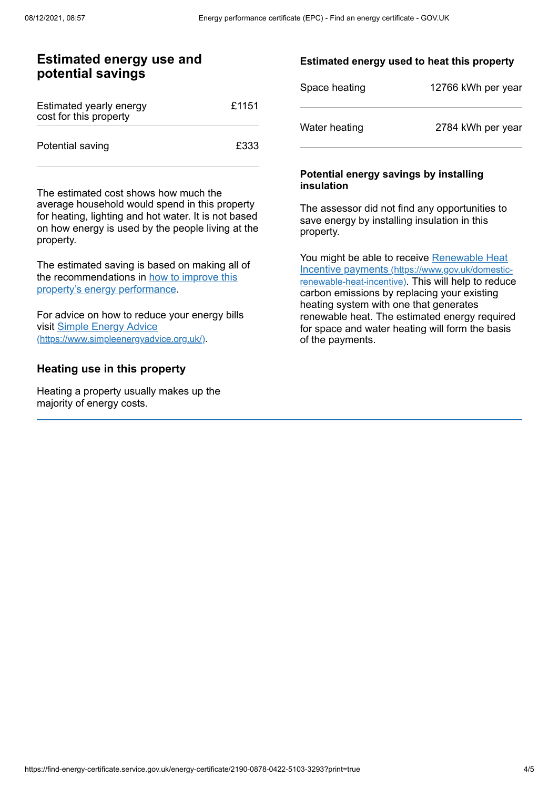## **Estimated energy use and potential savings**

| Estimated yearly energy<br>cost for this property | £1151 |
|---------------------------------------------------|-------|
| Potential saving                                  | £333  |

The estimated cost shows how much the average household would spend in this property for heating, lighting and hot water. It is not based on how energy is used by the people living at the property.

The estimated saving is based on making all of the [recommendations](#page-2-0) in how to improve this property's energy performance.

For advice on how to reduce your energy bills visit Simple Energy Advice [\(https://www.simpleenergyadvice.org.uk/\)](https://www.simpleenergyadvice.org.uk/).

#### **Heating use in this property**

Heating a property usually makes up the majority of energy costs.

#### **Estimated energy used to heat this property**

| Space heating | 12766 kWh per year |
|---------------|--------------------|
| Water heating | 2784 kWh per year  |

#### **Potential energy savings by installing insulation**

The assessor did not find any opportunities to save energy by installing insulation in this property.

You might be able to receive Renewable Heat Incentive payments [\(https://www.gov.uk/domestic](https://www.gov.uk/domestic-renewable-heat-incentive)renewable-heat-incentive). This will help to reduce carbon emissions by replacing your existing heating system with one that generates renewable heat. The estimated energy required for space and water heating will form the basis of the payments.